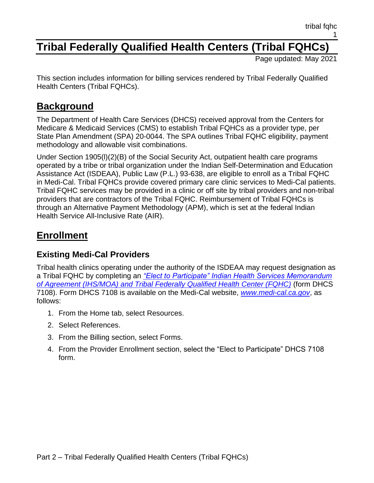# **Tribal Federally Qualified Health Centers (Tribal FQHCs)**

Page updated: May 2021

This section includes information for billing services rendered by Tribal Federally Qualified Health Centers (Tribal FQHCs).

### **Background**

The Department of Health Care Services (DHCS) received approval from the Centers for Medicare & Medicaid Services (CMS) to establish Tribal FQHCs as a provider type, per State Plan Amendment (SPA) 20-0044. The SPA outlines Tribal FQHC eligibility, payment methodology and allowable visit combinations.

Under Section 1905(l)(2)(B) of the Social Security Act, outpatient health care programs operated by a tribe or tribal organization under the Indian Self-Determination and Education Assistance Act (ISDEAA), Public Law (P.L.) 93-638, are eligible to enroll as a Tribal FQHC in Medi-Cal. Tribal FQHCs provide covered primary care clinic services to Medi-Cal patients. Tribal FQHC services may be provided in a clinic or off site by tribal providers and non-tribal providers that are contractors of the Tribal FQHC. Reimbursement of Tribal FQHCs is through an Alternative Payment Methodology (APM), which is set at the federal Indian Health Service All-Inclusive Rate (AIR).

### **Enrollment**

### **Existing Medi-Cal Providers**

Tribal health clinics operating under the authority of the ISDEAA may request designation as a Tribal FQHC by completing an *"Elect to [Participate" Indian Health Services Memorandum](https://files.medi-cal.ca.gov/pubsdoco/Publications/masters-other/provappsenroll/30enrollment_DHCS7108.pdf)  [of Agreement \(IHS/MOA\) and Tribal Federally Qualified Health Center \(FQHC\)](https://files.medi-cal.ca.gov/pubsdoco/Publications/masters-other/provappsenroll/30enrollment_DHCS7108.pdf)* (form DHCS 7108). Form DHCS 7108 is available on the Medi-Cal website, *[www.medi-cal.ca.gov](http://www.medi-cal.ca.gov/)*, as follows:

- 1. From the Home tab, select Resources.
- 2. Select References.
- 3. From the Billing section, select Forms.
- 4. From the Provider Enrollment section, select the "Elect to Participate" DHCS 7108 form.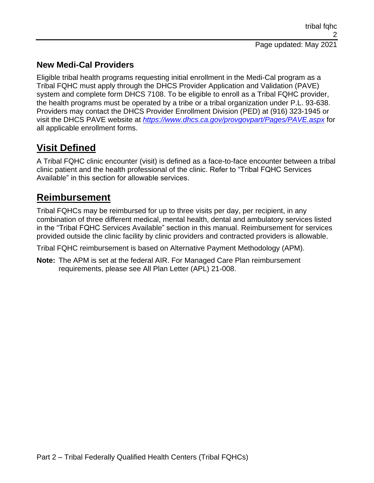### **New Medi-Cal Providers**

Eligible tribal health programs requesting initial enrollment in the Medi-Cal program as a Tribal FQHC must apply through the DHCS Provider Application and Validation (PAVE) system and complete form DHCS 7108. To be eligible to enroll as a Tribal FQHC provider, the health programs must be operated by a tribe or a tribal organization under P.L. 93-638. Providers may contact the DHCS Provider Enrollment Division (PED) at (916) 323-1945 or visit the DHCS PAVE website at *<https://www.dhcs.ca.gov/provgovpart/Pages/PAVE.aspx>* for all applicable enrollment forms.

# **Visit Defined**

A Tribal FQHC clinic encounter (visit) is defined as a face-to-face encounter between a tribal clinic patient and the health professional of the clinic. Refer to "Tribal FQHC Services Available" in this section for allowable services.

### **Reimbursement**

Tribal FQHCs may be reimbursed for up to three visits per day, per recipient, in any combination of three different medical, mental health, dental and ambulatory services listed in the "Tribal FQHC Services Available" section in this manual. Reimbursement for services provided outside the clinic facility by clinic providers and contracted providers is allowable.

Tribal FQHC reimbursement is based on Alternative Payment Methodology (APM).

**Note:** The APM is set at the federal AIR. For Managed Care Plan reimbursement requirements, please see All Plan Letter (APL) 21-008.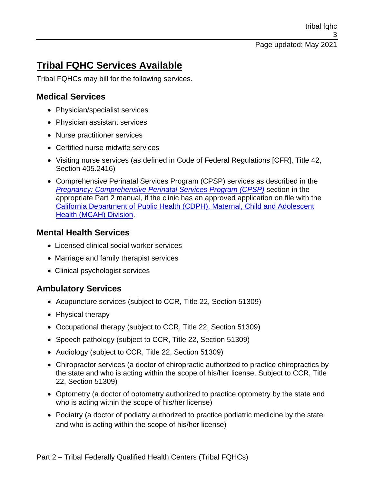tribal fqhc 3

Page updated: May 2021

# **Tribal FQHC Services Available**

Tribal FQHCs may bill for the following services.

### **Medical Services**

- Physician/specialist services
- Physician assistant services
- Nurse practitioner services
- Certified nurse midwife services
- Visiting nurse services (as defined in Code of Federal Regulations [CFR], Title 42, Section 405.2416)
- Comprehensive Perinatal Services Program (CPSP) services as described in the *[Pregnancy: Comprehensive Perinatal](https://files.medi-cal.ca.gov/pubsdoco/publications/masters-mtp/part2/pregcom.pdf) Services Program (CPSP)* section in the appropriate Part 2 manual, if the clinic has an approved application on file with the [California Department of Public Health \(CDPH\), Maternal, Child and Adolescent](https://www.cdph.ca.gov/programs/cfh/DMCAH/Pages/Default.aspx)  [Health \(MCAH\) Division.](https://www.cdph.ca.gov/programs/cfh/DMCAH/Pages/Default.aspx)

#### **Mental Health Services**

- Licensed clinical social worker services
- Marriage and family therapist services
- Clinical psychologist services

### **Ambulatory Services**

- Acupuncture services (subject to CCR, Title 22, Section 51309)
- Physical therapy
- Occupational therapy (subject to CCR, Title 22, Section 51309)
- Speech pathology (subject to CCR, Title 22, Section 51309)
- Audiology (subject to CCR, Title 22, Section 51309)
- Chiropractor services (a doctor of chiropractic authorized to practice chiropractics by the state and who is acting within the scope of his/her license. Subject to CCR, Title 22, Section 51309)
- Optometry (a doctor of optometry authorized to practice optometry by the state and who is acting within the scope of his/her license)
- Podiatry (a doctor of podiatry authorized to practice podiatric medicine by the state and who is acting within the scope of his/her license)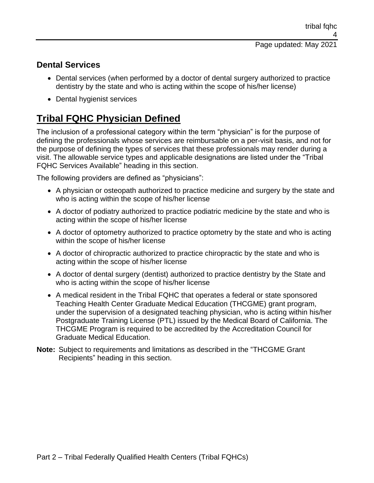### **Dental Services**

- Dental services (when performed by a doctor of dental surgery authorized to practice dentistry by the state and who is acting within the scope of his/her license)
- Dental hygienist services

# **Tribal FQHC Physician Defined**

The inclusion of a professional category within the term "physician" is for the purpose of defining the professionals whose services are reimbursable on a per-visit basis, and not for the purpose of defining the types of services that these professionals may render during a visit. The allowable service types and applicable designations are listed under the "Tribal FQHC Services Available" heading in this section.

The following providers are defined as "physicians":

- A physician or osteopath authorized to practice medicine and surgery by the state and who is acting within the scope of his/her license
- A doctor of podiatry authorized to practice podiatric medicine by the state and who is acting within the scope of his/her license
- A doctor of optometry authorized to practice optometry by the state and who is acting within the scope of his/her license
- A doctor of chiropractic authorized to practice chiropractic by the state and who is acting within the scope of his/her license
- A doctor of dental surgery (dentist) authorized to practice dentistry by the State and who is acting within the scope of his/her license
- A medical resident in the Tribal FQHC that operates a federal or state sponsored Teaching Health Center Graduate Medical Education (THCGME) grant program, under the supervision of a designated teaching physician, who is acting within his/her Postgraduate Training License (PTL) issued by the Medical Board of California. The THCGME Program is required to be accredited by the Accreditation Council for Graduate Medical Education.
- **Note:** Subject to requirements and limitations as described in the "THCGME Grant Recipients" heading in this section.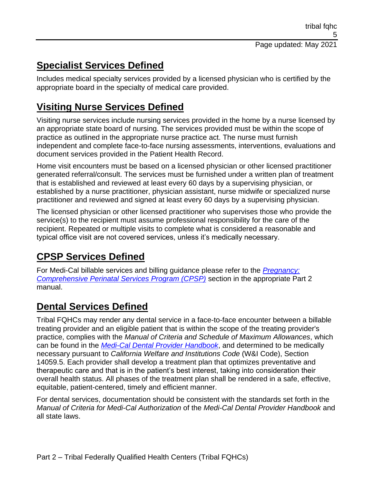# **Specialist Services Defined**

Includes medical specialty services provided by a licensed physician who is certified by the appropriate board in the specialty of medical care provided.

# **Visiting Nurse Services Defined**

Visiting nurse services include nursing services provided in the home by a nurse licensed by an appropriate state board of nursing. The services provided must be within the scope of practice as outlined in the appropriate nurse practice act. The nurse must furnish independent and complete face-to-face nursing assessments, interventions, evaluations and document services provided in the Patient Health Record.

Home visit encounters must be based on a licensed physician or other licensed practitioner generated referral/consult. The services must be furnished under a written plan of treatment that is established and reviewed at least every 60 days by a supervising physician, or established by a nurse practitioner, physician assistant, nurse midwife or specialized nurse practitioner and reviewed and signed at least every 60 days by a supervising physician.

The licensed physician or other licensed practitioner who supervises those who provide the service(s) to the recipient must assume professional responsibility for the care of the recipient. Repeated or multiple visits to complete what is considered a reasonable and typical office visit are not covered services, unless it's medically necessary.

# **CPSP Services Defined**

For Medi-Cal billable services and billing guidance please refer to the *[Pregnancy:](https://files.medi-cal.ca.gov/pubsdoco/publications/masters-mtp/part2/pregcom.pdf)  [Comprehensive Perinatal Services Program \(CPSP\)](https://files.medi-cal.ca.gov/pubsdoco/publications/masters-mtp/part2/pregcom.pdf)* section in the appropriate Part 2 manual.

# **Dental Services Defined**

Tribal FQHCs may render any dental service in a face-to-face encounter between a billable treating provider and an eligible patient that is within the scope of the treating provider's practice, complies with the *Manual of Criteria and Schedule of Maximum Allowances*, which can be found in the *[Medi-Cal Dental Provider Handbook](https://www.denti-cal.ca.gov/Dental_Providers/Denti-Cal/Provider_Handbook/)*, and determined to be medically necessary pursuant to *California Welfare and Institutions Code* (W&I Code), Section 14059.5. Each provider shall develop a treatment plan that optimizes preventative and therapeutic care and that is in the patient's best interest, taking into consideration their overall health status. All phases of the treatment plan shall be rendered in a safe, effective, equitable, patient-centered, timely and efficient manner.

For dental services, documentation should be consistent with the standards set forth in the *Manual of Criteria for Medi-Cal Authorization* of the *Medi-Cal Dental Provider Handbook* and all state laws.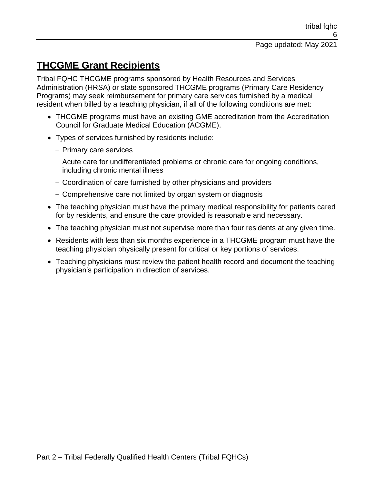# **THCGME Grant Recipients**

Tribal FQHC THCGME programs sponsored by Health Resources and Services Administration (HRSA) or state sponsored THCGME programs (Primary Care Residency Programs) may seek reimbursement for primary care services furnished by a medical resident when billed by a teaching physician, if all of the following conditions are met:

- THCGME programs must have an existing GME accreditation from the Accreditation Council for Graduate Medical Education (ACGME).
- Types of services furnished by residents include:
	- Primary care services
	- Acute care for undifferentiated problems or chronic care for ongoing conditions, including chronic mental illness
	- Coordination of care furnished by other physicians and providers
	- Comprehensive care not limited by organ system or diagnosis
- The teaching physician must have the primary medical responsibility for patients cared for by residents, and ensure the care provided is reasonable and necessary.
- The teaching physician must not supervise more than four residents at any given time.
- Residents with less than six months experience in a THCGME program must have the teaching physician physically present for critical or key portions of services.
- Teaching physicians must review the patient health record and document the teaching physician's participation in direction of services.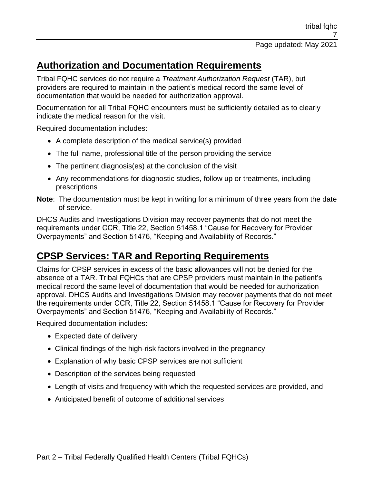# **Authorization and Documentation Requirements**

Tribal FQHC services do not require a *Treatment Authorization Request* (TAR), but providers are required to maintain in the patient's medical record the same level of documentation that would be needed for authorization approval.

Documentation for all Tribal FQHC encounters must be sufficiently detailed as to clearly indicate the medical reason for the visit.

Required documentation includes:

- A complete description of the medical service(s) provided
- The full name, professional title of the person providing the service
- The pertinent diagnosis(es) at the conclusion of the visit
- Any recommendations for diagnostic studies, follow up or treatments, including prescriptions
- **Note**: The documentation must be kept in writing for a minimum of three years from the date of service.

DHCS Audits and Investigations Division may recover payments that do not meet the requirements under CCR, Title 22, Section 51458.1 "Cause for Recovery for Provider Overpayments" and Section 51476, "Keeping and Availability of Records."

### **CPSP Services: TAR and Reporting Requirements**

Claims for CPSP services in excess of the basic allowances will not be denied for the absence of a TAR. Tribal FQHCs that are CPSP providers must maintain in the patient's medical record the same level of documentation that would be needed for authorization approval. DHCS Audits and Investigations Division may recover payments that do not meet the requirements under CCR, Title 22, Section 51458.1 "Cause for Recovery for Provider Overpayments" and Section 51476, "Keeping and Availability of Records."

Required documentation includes:

- Expected date of delivery
- Clinical findings of the high-risk factors involved in the pregnancy
- Explanation of why basic CPSP services are not sufficient
- Description of the services being requested
- Length of visits and frequency with which the requested services are provided, and
- Anticipated benefit of outcome of additional services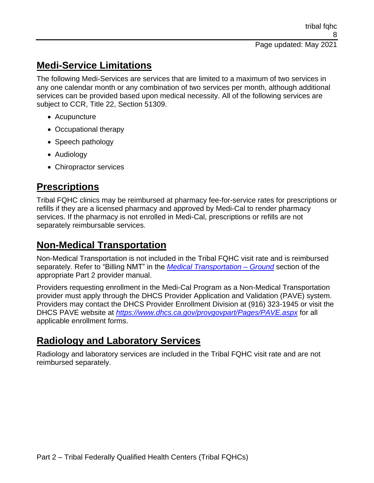## **Medi-Service Limitations**

The following Medi-Services are services that are limited to a maximum of two services in any one calendar month or any combination of two services per month, although additional services can be provided based upon medical necessity. All of the following services are subject to CCR, Title 22, Section 51309.

- Acupuncture
- Occupational therapy
- Speech pathology
- Audiology
- Chiropractor services

# **Prescriptions**

Tribal FQHC clinics may be reimbursed at pharmacy fee-for-service rates for prescriptions or refills if they are a licensed pharmacy and approved by Medi-Cal to render pharmacy services. If the pharmacy is not enrolled in Medi-Cal, prescriptions or refills are not separately reimbursable services.

# **Non-Medical Transportation**

Non-Medical Transportation is not included in the Tribal FQHC visit rate and is reimbursed separately. Refer to "Billing NMT" in the *[Medical Transportation –](https://files.medi-cal.ca.gov/pubsdoco/publications/masters-mtp/part2/mctrangnd.pdf) Ground* section of the appropriate Part 2 provider manual.

Providers requesting enrollment in the Medi-Cal Program as a Non-Medical Transportation provider must apply through the DHCS Provider Application and Validation (PAVE) system. Providers may contact the DHCS Provider Enrollment Division at (916) 323-1945 or visit the DHCS PAVE website at *<https://www.dhcs.ca.gov/provgovpart/Pages/PAVE.aspx>* for all applicable enrollment forms.

# **Radiology and Laboratory Services**

Radiology and laboratory services are included in the Tribal FQHC visit rate and are not reimbursed separately.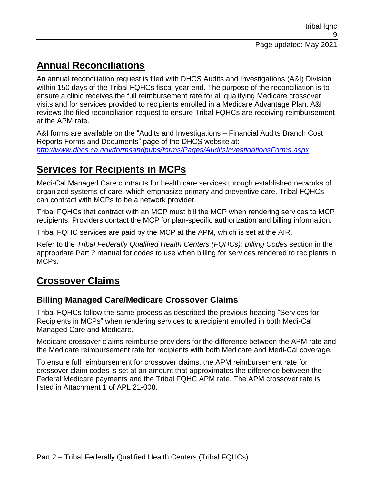# **Annual Reconciliations**

An annual reconciliation request is filed with DHCS Audits and Investigations (A&I) Division within 150 days of the Tribal FQHCs fiscal year end. The purpose of the reconciliation is to ensure a clinic receives the full reimbursement rate for all qualifying Medicare crossover visits and for services provided to recipients enrolled in a Medicare Advantage Plan. A&I reviews the filed reconciliation request to ensure Tribal FQHCs are receiving reimbursement at the APM rate.

A&I forms are available on the "Audits and Investigations – Financial Audits Branch Cost Reports Forms and Documents" page of the DHCS website at: *<http://www.dhcs.ca.gov/formsandpubs/forms/Pages/AuditsInvestigationsForms.aspx>*.

# **Services for Recipients in MCPs**

Medi-Cal Managed Care contracts for health care services through established networks of organized systems of care, which emphasize primary and preventive care. Tribal FQHCs can contract with MCPs to be a network provider.

Tribal FQHCs that contract with an MCP must bill the MCP when rendering services to MCP recipients. Providers contact the MCP for plan-specific authorization and billing information.

Tribal FQHC services are paid by the MCP at the APM, which is set at the AIR.

Refer to the *Tribal Federally Qualified Health Centers (FQHCs): Billing Codes* section in the appropriate Part 2 manual for codes to use when billing for services rendered to recipients in MCPs.

### **Crossover Claims**

### **Billing Managed Care/Medicare Crossover Claims**

Tribal FQHCs follow the same process as described the previous heading "Services for Recipients in MCPs" when rendering services to a recipient enrolled in both Medi-Cal Managed Care and Medicare.

Medicare crossover claims reimburse providers for the difference between the APM rate and the Medicare reimbursement rate for recipients with both Medicare and Medi-Cal coverage.

To ensure full reimbursement for crossover claims, the APM reimbursement rate for crossover claim codes is set at an amount that approximates the difference between the Federal Medicare payments and the Tribal FQHC APM rate. The APM crossover rate is listed in Attachment 1 of APL 21-008.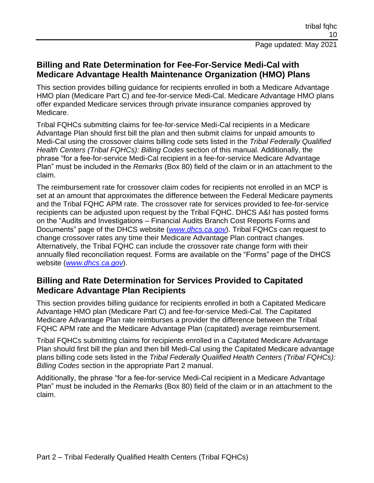### **Billing and Rate Determination for Fee-For-Service Medi-Cal with Medicare Advantage Health Maintenance Organization (HMO) Plans**

This section provides billing guidance for recipients enrolled in both a Medicare Advantage HMO plan (Medicare Part C) and fee-for-service Medi-Cal. Medicare Advantage HMO plans offer expanded Medicare services through private insurance companies approved by Medicare.

Tribal FQHCs submitting claims for fee-for-service Medi-Cal recipients in a Medicare Advantage Plan should first bill the plan and then submit claims for unpaid amounts to Medi-Cal using the crossover claims billing code sets listed in the *Tribal Federally Qualified Health Centers (Tribal FQHCs): Billing Codes* section of this manual. Additionally, the phrase "for a fee-for-service Medi-Cal recipient in a fee-for-service Medicare Advantage Plan" must be included in the *Remarks* (Box 80) field of the claim or in an attachment to the claim.

The reimbursement rate for crossover claim codes for recipients not enrolled in an MCP is set at an amount that approximates the difference between the Federal Medicare payments and the Tribal FQHC APM rate. The crossover rate for services provided to fee-for-service recipients can be adjusted upon request by the Tribal FQHC. DHCS A&I has posted forms on the "Audits and Investigations – Financial Audits Branch Cost Reports Forms and Documents" page of the DHCS website (*[www.dhcs.ca.gov](http://www.dhcs.ca.gov/)*). Tribal FQHCs can request to change crossover rates any time their Medicare Advantage Plan contract changes. Alternatively, the Tribal FQHC can include the crossover rate change form with their annually filed reconciliation request. Forms are available on the "Forms" page of the DHCS website (*[www.dhcs.ca.gov](http://www.dhcs.ca.gov/)*).

### **Billing and Rate Determination for Services Provided to Capitated Medicare Advantage Plan Recipients**

This section provides billing guidance for recipients enrolled in both a Capitated Medicare Advantage HMO plan (Medicare Part C) and fee-for-service Medi-Cal. The Capitated Medicare Advantage Plan rate reimburses a provider the difference between the Tribal FQHC APM rate and the Medicare Advantage Plan (capitated) average reimbursement.

Tribal FQHCs submitting claims for recipients enrolled in a Capitated Medicare Advantage Plan should first bill the plan and then bill Medi-Cal using the Capitated Medicare advantage plans billing code sets listed in the *Tribal Federally Qualified Health Centers (Tribal FQHCs): Billing Codes* section in the appropriate Part 2 manual.

Additionally, the phrase "for a fee-for-service Medi-Cal recipient in a Medicare Advantage Plan" must be included in the *Remarks* (Box 80) field of the claim or in an attachment to the claim.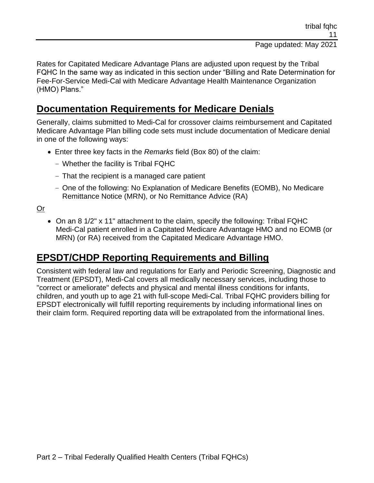Rates for Capitated Medicare Advantage Plans are adjusted upon request by the Tribal FQHC In the same way as indicated in this section under "Billing and Rate Determination for Fee-For-Service Medi-Cal with Medicare Advantage Health Maintenance Organization (HMO) Plans."

### **Documentation Requirements for Medicare Denials**

Generally, claims submitted to Medi-Cal for crossover claims reimbursement and Capitated Medicare Advantage Plan billing code sets must include documentation of Medicare denial in one of the following ways:

- Enter three key facts in the *Remarks* field (Box 80) of the claim:
	- Whether the facility is Tribal FQHC
	- That the recipient is a managed care patient
	- One of the following: No Explanation of Medicare Benefits (EOMB), No Medicare Remittance Notice (MRN), or No Remittance Advice (RA)

Or

• On an 8 1/2" x 11" attachment to the claim, specify the following: Tribal FQHC Medi-Cal patient enrolled in a Capitated Medicare Advantage HMO and no EOMB (or MRN) (or RA) received from the Capitated Medicare Advantage HMO.

### **EPSDT/CHDP Reporting Requirements and Billing**

Consistent with federal law and regulations for Early and Periodic Screening, Diagnostic and Treatment (EPSDT), Medi-Cal covers all medically necessary services, including those to "correct or ameliorate" defects and physical and mental illness conditions for infants, children, and youth up to age 21 with full-scope Medi-Cal. Tribal FQHC providers billing for EPSDT electronically will fulfill reporting requirements by including informational lines on their claim form. Required reporting data will be extrapolated from the informational lines.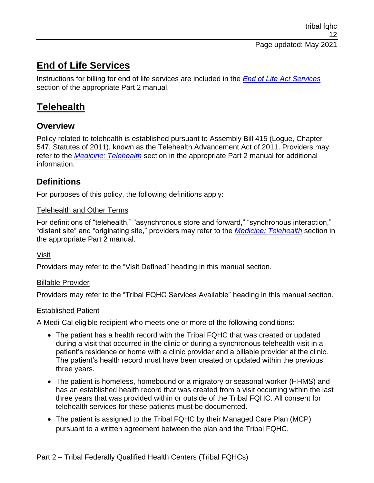### **End of Life Services**

Instructions for billing for end of life services are included in the *[End of Life Act Services](https://files.medi-cal.ca.gov/pubsdoco/Publications/masters-MTP/Part2/eloa.pdf)* section of the appropriate Part 2 manual.

### **Telehealth**

### **Overview**

Policy related to telehealth is established pursuant to Assembly Bill 415 (Logue, Chapter 547, Statutes of 2011), known as the Telehealth Advancement Act of 2011. Providers may refer to the *[Medicine: Telehealth](https://files.medi-cal.ca.gov/pubsdoco/publications/masters-mtp/part2/mednetele.pdf)* section in the appropriate Part 2 manual for additional information.

### **Definitions**

For purposes of this policy, the following definitions apply:

#### Telehealth and Other Terms

For definitions of "telehealth," "asynchronous store and forward," "synchronous interaction," "distant site" and "originating site," providers may refer to the *[Medicine: Telehealth](https://files.medi-cal.ca.gov/pubsdoco/publications/masters-mtp/part2/mednetele.pdf)* section in the appropriate Part 2 manual.

#### Visit

Providers may refer to the "Visit Defined" heading in this manual section.

#### Billable Provider

Providers may refer to the "Tribal FQHC Services Available" heading in this manual section.

#### Established Patient

A Medi-Cal eligible recipient who meets one or more of the following conditions:

- The patient has a health record with the Tribal FQHC that was created or updated during a visit that occurred in the clinic or during a synchronous telehealth visit in a patient's residence or home with a clinic provider and a billable provider at the clinic. The patient's health record must have been created or updated within the previous three years.
- The patient is homeless, homebound or a migratory or seasonal worker (HHMS) and has an established health record that was created from a visit occurring within the last three years that was provided within or outside of the Tribal FQHC. All consent for telehealth services for these patients must be documented.
- The patient is assigned to the Tribal FQHC by their Managed Care Plan (MCP) pursuant to a written agreement between the plan and the Tribal FQHC.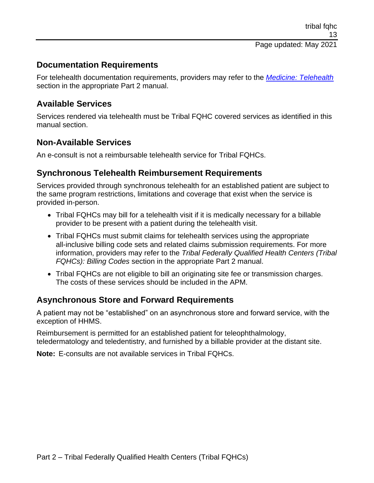### **Documentation Requirements**

For telehealth documentation requirements, providers may refer to the *[Medicine: Telehealth](https://files.medi-cal.ca.gov/pubsdoco/publications/masters-mtp/part2/mednetele.pdf)* section in the appropriate Part 2 manual.

### **Available Services**

Services rendered via telehealth must be Tribal FQHC covered services as identified in this manual section.

#### **Non-Available Services**

An e-consult is not a reimbursable telehealth service for Tribal FQHCs.

### **Synchronous Telehealth Reimbursement Requirements**

Services provided through synchronous telehealth for an established patient are subject to the same program restrictions, limitations and coverage that exist when the service is provided in-person.

- Tribal FQHCs may bill for a telehealth visit if it is medically necessary for a billable provider to be present with a patient during the telehealth visit.
- Tribal FQHCs must submit claims for telehealth services using the appropriate all-inclusive billing code sets and related claims submission requirements. For more information, providers may refer to the *Tribal Federally Qualified Health Centers (Tribal FQHCs): Billing Codes* section in the appropriate Part 2 manual.
- Tribal FQHCs are not eligible to bill an originating site fee or transmission charges. The costs of these services should be included in the APM.

#### **Asynchronous Store and Forward Requirements**

A patient may not be "established" on an asynchronous store and forward service, with the exception of HHMS.

Reimbursement is permitted for an established patient for teleophthalmology, teledermatology and teledentistry, and furnished by a billable provider at the distant site.

**Note:** E-consults are not available services in Tribal FQHCs.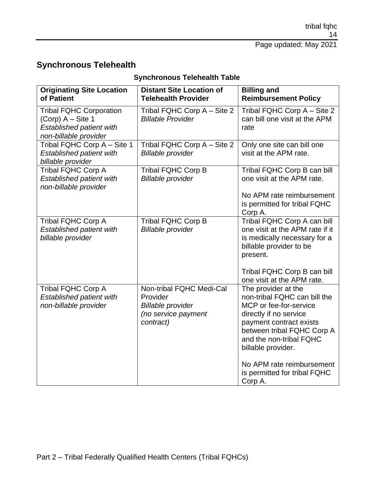### **Synchronous Telehealth**

| <b>Originating Site Location</b>                                                                           | <b>Distant Site Location of</b>                                                                      | <b>Billing and</b>                                                                                                                                                                                                |
|------------------------------------------------------------------------------------------------------------|------------------------------------------------------------------------------------------------------|-------------------------------------------------------------------------------------------------------------------------------------------------------------------------------------------------------------------|
| of Patient                                                                                                 | <b>Telehealth Provider</b>                                                                           | <b>Reimbursement Policy</b>                                                                                                                                                                                       |
| <b>Tribal FQHC Corporation</b><br>$(Corp)$ A – Site 1<br>Established patient with<br>non-billable provider | Tribal FQHC Corp A - Site 2<br><b>Billable Provider</b>                                              | Tribal FQHC Corp A - Site 2<br>can bill one visit at the APM<br>rate                                                                                                                                              |
| Tribal FQHC Corp A - Site 1<br><b>Established patient with</b><br>billable provider                        | Tribal FQHC Corp A - Site 2<br><b>Billable provider</b>                                              | Only one site can bill one<br>visit at the APM rate.                                                                                                                                                              |
| <b>Tribal FQHC Corp A</b><br><b>Established patient with</b><br>non-billable provider                      | <b>Tribal FQHC Corp B</b><br><b>Billable provider</b>                                                | Tribal FQHC Corp B can bill<br>one visit at the APM rate.                                                                                                                                                         |
|                                                                                                            |                                                                                                      | No APM rate reimbursement<br>is permitted for tribal FQHC<br>Corp A.                                                                                                                                              |
| <b>Tribal FQHC Corp A</b><br>Established patient with<br>billable provider                                 | <b>Tribal FQHC Corp B</b><br><b>Billable provider</b>                                                | Tribal FQHC Corp A can bill<br>one visit at the APM rate if it<br>is medically necessary for a<br>billable provider to be<br>present.                                                                             |
|                                                                                                            |                                                                                                      | Tribal FQHC Corp B can bill<br>one visit at the APM rate.                                                                                                                                                         |
| <b>Tribal FQHC Corp A</b><br><b>Established patient with</b><br>non-billable provider                      | Non-tribal FQHC Medi-Cal<br>Provider<br><b>Billable provider</b><br>(no service payment<br>contract) | The provider at the<br>non-tribal FQHC can bill the<br>MCP or fee-for-service<br>directly if no service<br>payment contract exists<br>between tribal FQHC Corp A<br>and the non-tribal FQHC<br>billable provider. |
|                                                                                                            |                                                                                                      | No APM rate reimbursement<br>is permitted for tribal FQHC<br>Corp A.                                                                                                                                              |

### **Synchronous Telehealth Table**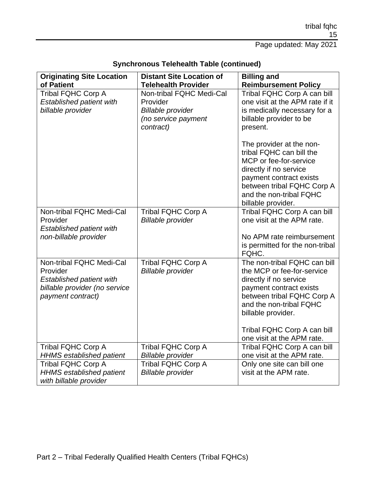| <b>Originating Site Location</b><br>of Patient                                                                                | <b>Distant Site Location of</b><br><b>Telehealth Provider</b>                                        | <b>Billing and</b>                                                                                                                                                                                                                                          |
|-------------------------------------------------------------------------------------------------------------------------------|------------------------------------------------------------------------------------------------------|-------------------------------------------------------------------------------------------------------------------------------------------------------------------------------------------------------------------------------------------------------------|
| <b>Tribal FQHC Corp A</b><br><b>Established patient with</b><br>billable provider                                             | Non-tribal FQHC Medi-Cal<br>Provider<br><b>Billable provider</b><br>(no service payment<br>contract) | <b>Reimbursement Policy</b><br>Tribal FQHC Corp A can bill<br>one visit at the APM rate if it<br>is medically necessary for a<br>billable provider to be<br>present.                                                                                        |
|                                                                                                                               |                                                                                                      | The provider at the non-<br>tribal FQHC can bill the<br>MCP or fee-for-service<br>directly if no service<br>payment contract exists<br>between tribal FQHC Corp A<br>and the non-tribal FQHC<br>billable provider.                                          |
| Non-tribal FQHC Medi-Cal<br>Provider<br><b>Established patient with</b><br>non-billable provider                              | <b>Tribal FQHC Corp A</b><br><b>Billable provider</b>                                                | Tribal FQHC Corp A can bill<br>one visit at the APM rate.<br>No APM rate reimbursement<br>is permitted for the non-tribal<br>FQHC.                                                                                                                          |
| Non-tribal FQHC Medi-Cal<br>Provider<br><b>Established patient with</b><br>billable provider (no service<br>payment contract) | <b>Tribal FQHC Corp A</b><br><b>Billable provider</b>                                                | The non-tribal FQHC can bill<br>the MCP or fee-for-service<br>directly if no service<br>payment contract exists<br>between tribal FQHC Corp A<br>and the non-tribal FQHC<br>billable provider.<br>Tribal FQHC Corp A can bill<br>one visit at the APM rate. |
| <b>Tribal FQHC Corp A</b><br><b>HHMS</b> established patient                                                                  | <b>Tribal FQHC Corp A</b><br><b>Billable provider</b>                                                | Tribal FQHC Corp A can bill<br>one visit at the APM rate.                                                                                                                                                                                                   |
| <b>Tribal FQHC Corp A</b><br><b>HHMS</b> established patient<br>with billable provider                                        | <b>Tribal FQHC Corp A</b><br><b>Billable provider</b>                                                | Only one site can bill one<br>visit at the APM rate.                                                                                                                                                                                                        |

### **Synchronous Telehealth Table (continued)**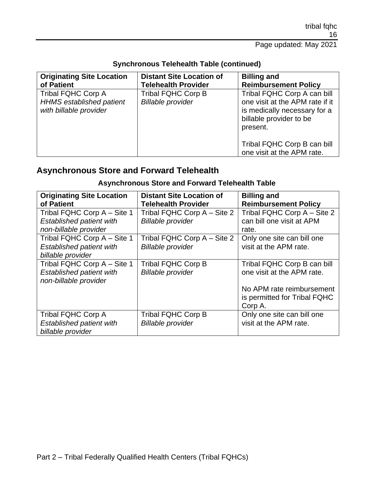| <b>Originating Site Location</b><br>of Patient                                         | <b>Distant Site Location of</b><br><b>Telehealth Provider</b> | <b>Billing and</b><br><b>Reimbursement Policy</b>                                                                                     |
|----------------------------------------------------------------------------------------|---------------------------------------------------------------|---------------------------------------------------------------------------------------------------------------------------------------|
| <b>Tribal FQHC Corp A</b><br><b>HHMS</b> established patient<br>with billable provider | <b>Tribal FQHC Corp B</b><br><b>Billable provider</b>         | Tribal FQHC Corp A can bill<br>one visit at the APM rate if it<br>is medically necessary for a<br>billable provider to be<br>present. |
|                                                                                        |                                                               | Tribal FQHC Corp B can bill<br>one visit at the APM rate.                                                                             |

#### **Synchronous Telehealth Table (continued)**

### **Asynchronous Store and Forward Telehealth**

### **Asynchronous Store and Forward Telehealth Table**

| <b>Originating Site Location</b>                  | <b>Distant Site Location of</b> | <b>Billing and</b>           |
|---------------------------------------------------|---------------------------------|------------------------------|
| of Patient                                        | <b>Telehealth Provider</b>      | <b>Reimbursement Policy</b>  |
| Tribal FQHC Corp A - Site 1                       | Tribal FQHC Corp A – Site 2     | Tribal FQHC Corp A - Site 2  |
| <b>Established patient with</b>                   | <b>Billable provider</b>        | can bill one visit at APM    |
| non-billable provider                             |                                 | rate.                        |
| Tribal FQHC Corp A - Site 1                       | Tribal FQHC Corp A – Site 2     | Only one site can bill one   |
| <b>Established patient with</b>                   | <b>Billable provider</b>        | visit at the APM rate.       |
| billable provider                                 |                                 |                              |
| Tribal FQHC Corp A - Site 1                       | <b>Tribal FQHC Corp B</b>       | Tribal FQHC Corp B can bill  |
| Established patient with<br>non-billable provider | <b>Billable provider</b>        | one visit at the APM rate.   |
|                                                   |                                 | No APM rate reimbursement    |
|                                                   |                                 | is permitted for Tribal FQHC |
|                                                   |                                 | Corp A.                      |
| <b>Tribal FQHC Corp A</b>                         | <b>Tribal FQHC Corp B</b>       | Only one site can bill one   |
| <b>Established patient with</b>                   | <b>Billable provider</b>        | visit at the APM rate.       |
| billable provider                                 |                                 |                              |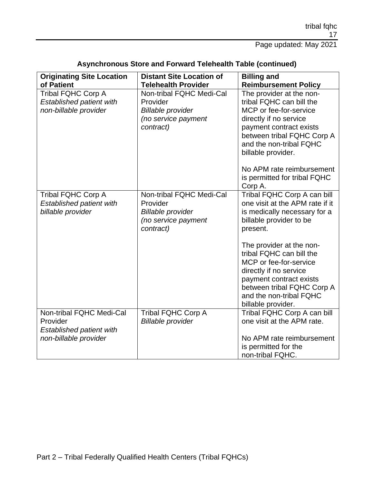Page updated: May 2021

| <b>Originating Site Location</b>                                                                 | <b>Distant Site Location of</b>                                                                      | <b>Billing and</b>                                                                                                                                                                                                                                                                                                                                          |
|--------------------------------------------------------------------------------------------------|------------------------------------------------------------------------------------------------------|-------------------------------------------------------------------------------------------------------------------------------------------------------------------------------------------------------------------------------------------------------------------------------------------------------------------------------------------------------------|
| of Patient                                                                                       | <b>Telehealth Provider</b>                                                                           | <b>Reimbursement Policy</b>                                                                                                                                                                                                                                                                                                                                 |
| <b>Tribal FQHC Corp A</b><br><b>Established patient with</b><br>non-billable provider            | Non-tribal FQHC Medi-Cal<br>Provider<br><b>Billable provider</b><br>(no service payment<br>contract) | The provider at the non-<br>tribal FQHC can bill the<br>MCP or fee-for-service<br>directly if no service<br>payment contract exists<br>between tribal FQHC Corp A<br>and the non-tribal FQHC<br>billable provider.                                                                                                                                          |
|                                                                                                  |                                                                                                      | No APM rate reimbursement<br>is permitted for tribal FQHC<br>Corp A.                                                                                                                                                                                                                                                                                        |
| <b>Tribal FQHC Corp A</b><br><b>Established patient with</b><br>billable provider                | Non-tribal FQHC Medi-Cal<br>Provider<br><b>Billable provider</b><br>(no service payment<br>contract) | Tribal FQHC Corp A can bill<br>one visit at the APM rate if it<br>is medically necessary for a<br>billable provider to be<br>present.<br>The provider at the non-<br>tribal FQHC can bill the<br>MCP or fee-for-service<br>directly if no service<br>payment contract exists<br>between tribal FQHC Corp A<br>and the non-tribal FQHC<br>billable provider. |
| Non-tribal FQHC Medi-Cal<br>Provider<br><b>Established patient with</b><br>non-billable provider | <b>Tribal FQHC Corp A</b><br><b>Billable provider</b>                                                | Tribal FQHC Corp A can bill<br>one visit at the APM rate.<br>No APM rate reimbursement<br>is permitted for the<br>non-tribal FQHC.                                                                                                                                                                                                                          |

### **Asynchronous Store and Forward Telehealth Table (continued)**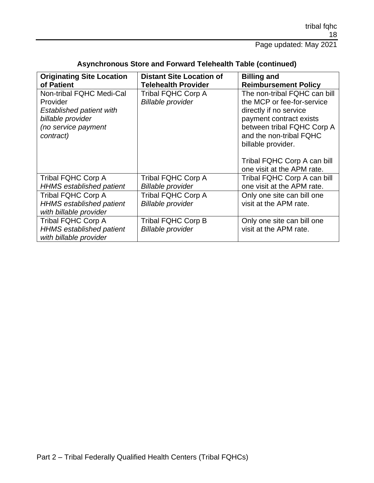| <b>Originating Site Location</b><br>of Patient                                                                                   | <b>Distant Site Location of</b><br><b>Telehealth Provider</b> | <b>Billing and</b><br><b>Reimbursement Policy</b>                                                                                                                                              |
|----------------------------------------------------------------------------------------------------------------------------------|---------------------------------------------------------------|------------------------------------------------------------------------------------------------------------------------------------------------------------------------------------------------|
| Non-tribal FQHC Medi-Cal<br>Provider<br><b>Established patient with</b><br>billable provider<br>(no service payment<br>contract) | <b>Tribal FQHC Corp A</b><br><b>Billable provider</b>         | The non-tribal FQHC can bill<br>the MCP or fee-for-service<br>directly if no service<br>payment contract exists<br>between tribal FQHC Corp A<br>and the non-tribal FQHC<br>billable provider. |
|                                                                                                                                  |                                                               | Tribal FQHC Corp A can bill<br>one visit at the APM rate.                                                                                                                                      |
| <b>Tribal FQHC Corp A</b><br><b>HHMS</b> established patient                                                                     | <b>Tribal FQHC Corp A</b><br><b>Billable provider</b>         | Tribal FQHC Corp A can bill<br>one visit at the APM rate.                                                                                                                                      |
| <b>Tribal FQHC Corp A</b><br><b>HHMS</b> established patient<br>with billable provider                                           | <b>Tribal FQHC Corp A</b><br><b>Billable provider</b>         | Only one site can bill one<br>visit at the APM rate.                                                                                                                                           |
| <b>Tribal FQHC Corp A</b><br><b>HHMS</b> established patient<br>with billable provider                                           | Tribal FQHC Corp B<br><b>Billable provider</b>                | Only one site can bill one<br>visit at the APM rate.                                                                                                                                           |

### **Asynchronous Store and Forward Telehealth Table (continued)**